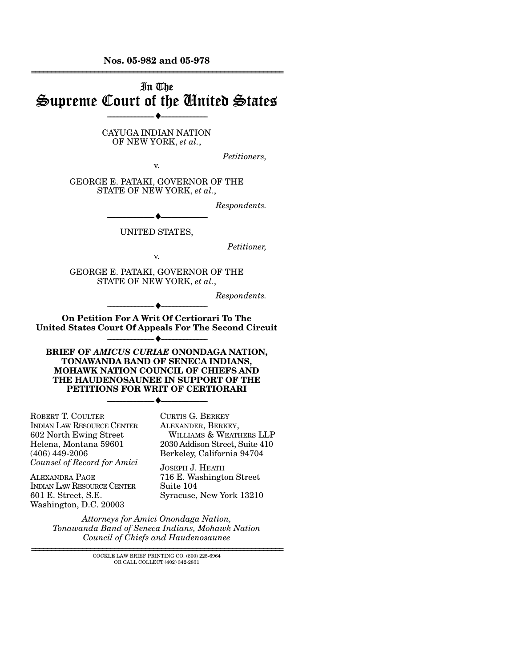**Nos. 05-982 and 05-978**  ================================================================

# In The Supreme Court of the United States

--------------------------------- ♦ ---------------------------------

#### CAYUGA INDIAN NATION OF NEW YORK, *et al.*,

*Petitioners,* 

GEORGE E. PATAKI, GOVERNOR OF THE STATE OF NEW YORK, *et al.*,

v.

*Respondents.* 

--------------------------------- ♦ --------------------------------- UNITED STATES,

*Petitioner,* 

v.

GEORGE E. PATAKI, GOVERNOR OF THE STATE OF NEW YORK, *et al.*,

*Respondents.* 

--------------------------------- ♦ --------------------------------- **On Petition For A Writ Of Certiorari To The United States Court Of Appeals For The Second Circuit** 

--------------------------------- ♦ ---------------------------------

**BRIEF OF** *AMICUS CURIAE* **ONONDAGA NATION, TONAWANDA BAND OF SENECA INDIANS, MOHAWK NATION COUNCIL OF CHIEFS AND THE HAUDENOSAUNEE IN SUPPORT OF THE PETITIONS FOR WRIT OF CERTIORARI** 

--------------------------------- ♦ ---------------------------------

ROBERT T. COULTER INDIAN LAW RESOURCE CENTER 602 North Ewing Street Helena, Montana 59601 (406) 449-2006 *Counsel of Record for Amici* 

ALEXANDRA PAGE INDIAN LAW RESOURCE CENTER 601 E. Street, S.E. Washington, D.C. 20003

CURTIS G. BERKEY ALEXANDER, BERKEY, WILLIAMS & WEATHERS LLP 2030 Addison Street, Suite 410 Berkeley, California 94704

JOSEPH J. HEATH 716 E. Washington Street Suite 104 Syracuse, New York 13210

*Attorneys for Amici Onondaga Nation, Tonawanda Band of Seneca Indians, Mohawk Nation Council of Chiefs and Haudenosaunee*

> ================================================================ COCKLE LAW BRIEF PRINTING CO. (800) 225-6964 OR CALL COLLECT (402) 342-2831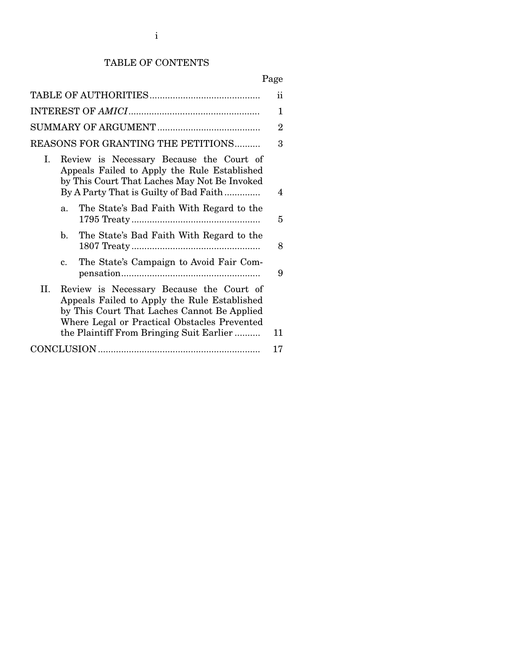# TABLE OF CONTENTS

# Page

|                                                                                                                                                                                                                                                  | $\ddot{\text{ii}}$ |
|--------------------------------------------------------------------------------------------------------------------------------------------------------------------------------------------------------------------------------------------------|--------------------|
|                                                                                                                                                                                                                                                  | 1                  |
|                                                                                                                                                                                                                                                  | $\overline{2}$     |
| REASONS FOR GRANTING THE PETITIONS                                                                                                                                                                                                               | 3                  |
| Ι.<br>Review is Necessary Because the Court of<br>Appeals Failed to Apply the Rule Established<br>by This Court That Laches May Not Be Invoked<br>By A Party That is Guilty of Bad Faith                                                         | 4                  |
| The State's Bad Faith With Regard to the<br>$a_{-}$                                                                                                                                                                                              | 5                  |
| The State's Bad Faith With Regard to the<br>h.                                                                                                                                                                                                   | 8                  |
| The State's Campaign to Avoid Fair Com-<br>$\mathbf{c}$ .                                                                                                                                                                                        | 9                  |
| II.<br>Review is Necessary Because the Court of<br>Appeals Failed to Apply the Rule Established<br>by This Court That Laches Cannot Be Applied<br>Where Legal or Practical Obstacles Prevented<br>the Plaintiff From Bringing Suit Earlier<br>11 |                    |
| 17                                                                                                                                                                                                                                               |                    |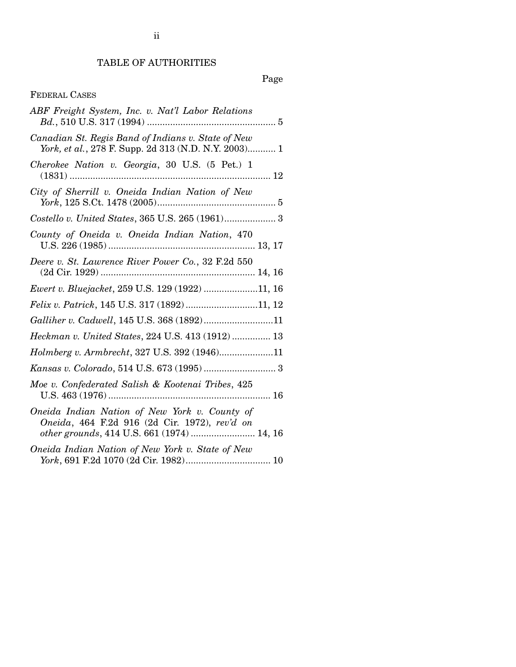# TABLE OF AUTHORITIES

# Page

# FEDERAL CASES

| ABF Freight System, Inc. v. Nat'l Labor Relations                                                                                            |
|----------------------------------------------------------------------------------------------------------------------------------------------|
| Canadian St. Regis Band of Indians v. State of New<br>York, et al., 278 F. Supp. 2d 313 (N.D. N.Y. 2003) 1                                   |
| Cherokee Nation v. Georgia, 30 U.S. (5 Pet.) 1                                                                                               |
| City of Sherrill v. Oneida Indian Nation of New                                                                                              |
|                                                                                                                                              |
| County of Oneida v. Oneida Indian Nation, 470                                                                                                |
| Deere v. St. Lawrence River Power Co., 32 F.2d 550                                                                                           |
| Ewert v. Bluejacket, 259 U.S. 129 (1922) 11, 16                                                                                              |
| Felix v. Patrick, 145 U.S. 317 (1892)11, 12                                                                                                  |
| Galliher v. Cadwell, 145 U.S. 368 (1892)11                                                                                                   |
| Heckman v. United States, 224 U.S. 413 (1912)  13                                                                                            |
| Holmberg v. Armbrecht, 327 U.S. 392 (1946)11                                                                                                 |
|                                                                                                                                              |
| Moe v. Confederated Salish & Kootenai Tribes, 425                                                                                            |
| Oneida Indian Nation of New York v. County of<br>Oneida, 464 F.2d 916 (2d Cir. 1972), rev'd on<br>other grounds, 414 U.S. 661 (1974)  14, 16 |
| Oneida Indian Nation of New York v. State of New                                                                                             |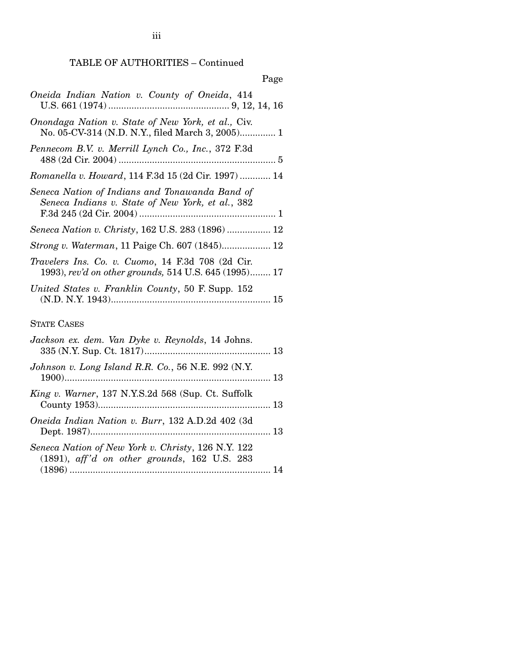TABLE OF AUTHORITIES – Continued

| Page                                                                                                              |
|-------------------------------------------------------------------------------------------------------------------|
| Oneida Indian Nation v. County of Oneida, 414                                                                     |
| Onondaga Nation v. State of New York, et al., Civ.<br>No. 05-CV-314 (N.D. N.Y., filed March 3, 2005) 1            |
| Pennecom B.V. v. Merrill Lynch Co., Inc., 372 F.3d                                                                |
| Romanella v. Howard, 114 F.3d 15 (2d Cir. 1997)  14                                                               |
| Seneca Nation of Indians and Tonawanda Band of<br>Seneca Indians v. State of New York, et al., 382                |
| Seneca Nation v. Christy, 162 U.S. 283 (1896)  12                                                                 |
|                                                                                                                   |
| <i>Travelers Ins. Co. v. Cuomo, 14 F.3d 708 (2d Cir.</i><br>1993), rev'd on other grounds, 514 U.S. 645 (1995) 17 |
| United States v. Franklin County, 50 F. Supp. 152                                                                 |
| <b>STATE CASES</b>                                                                                                |

| Jackson ex. dem. Van Dyke v. Reynolds, 14 Johns.                                                      |  |
|-------------------------------------------------------------------------------------------------------|--|
| Johnson v. Long Island R.R. Co., 56 N.E. 992 (N.Y.                                                    |  |
| <i>King v. Warner</i> , 137 N.Y.S.2d 568 (Sup. Ct. Suffolk                                            |  |
| Oneida Indian Nation v. Burr, 132 A.D.2d 402 (3d)                                                     |  |
| Seneca Nation of New York v. Christy, 126 N.Y. 122<br>$(1891)$ , aff'd on other grounds, 162 U.S. 283 |  |
|                                                                                                       |  |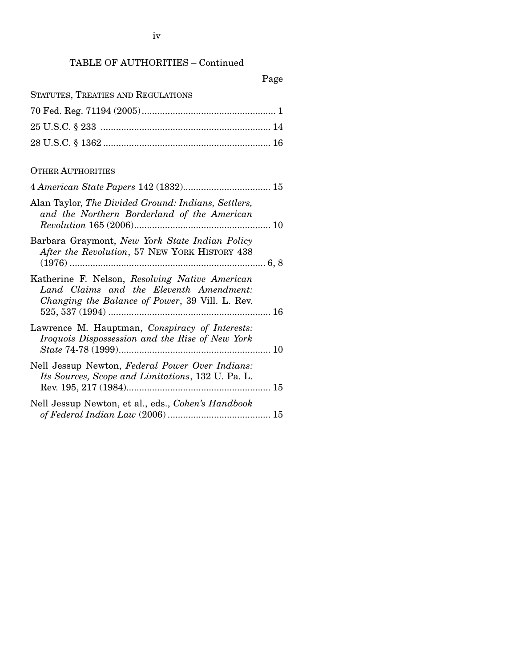# TABLE OF AUTHORITIES – Continued

|  |  |  | STATUTES, TREATIES AND REGULATIONS |
|--|--|--|------------------------------------|
|--|--|--|------------------------------------|

## OTHER AUTHORITIES

| Alan Taylor, The Divided Ground: Indians, Settlers,<br>and the Northern Borderland of the American                                           |  |
|----------------------------------------------------------------------------------------------------------------------------------------------|--|
| Barbara Graymont, New York State Indian Policy<br>After the Revolution, 57 NEW YORK HISTORY 438                                              |  |
| Katherine F. Nelson, Resolving Native American<br>Land Claims and the Eleventh Amendment:<br>Changing the Balance of Power, 39 Vill. L. Rev. |  |
| Lawrence M. Hauptman, Conspiracy of Interests:<br>Iroquois Dispossession and the Rise of New York                                            |  |
| Nell Jessup Newton, Federal Power Over Indians:<br>Its Sources, Scope and Limitations, 132 U. Pa. L.                                         |  |
| Nell Jessup Newton, et al., eds., Cohen's Handbook                                                                                           |  |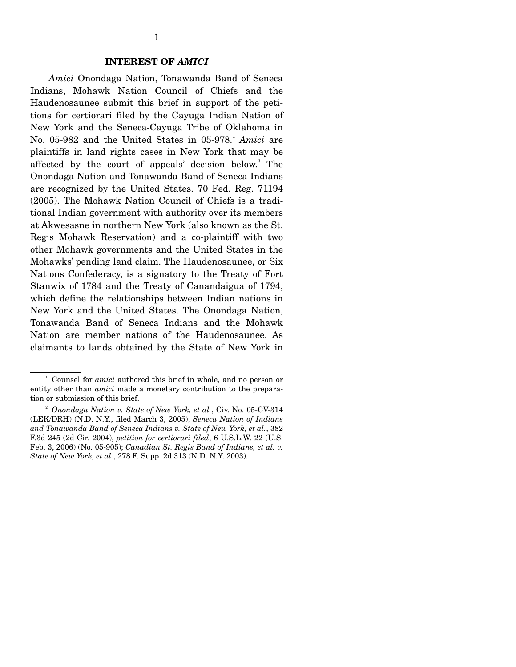#### **INTEREST OF** *AMICI*

 *Amici* Onondaga Nation, Tonawanda Band of Seneca Indians, Mohawk Nation Council of Chiefs and the Haudenosaunee submit this brief in support of the petitions for certiorari filed by the Cayuga Indian Nation of New York and the Seneca-Cayuga Tribe of Oklahoma in No. 05-982 and the United States in 05-978.<sup>1</sup> Amici are plaintiffs in land rights cases in New York that may be affected by the court of appeals' decision below.<sup>2</sup> The Onondaga Nation and Tonawanda Band of Seneca Indians are recognized by the United States. 70 Fed. Reg. 71194 (2005). The Mohawk Nation Council of Chiefs is a traditional Indian government with authority over its members at Akwesasne in northern New York (also known as the St. Regis Mohawk Reservation) and a co-plaintiff with two other Mohawk governments and the United States in the Mohawks' pending land claim. The Haudenosaunee, or Six Nations Confederacy, is a signatory to the Treaty of Fort Stanwix of 1784 and the Treaty of Canandaigua of 1794, which define the relationships between Indian nations in New York and the United States. The Onondaga Nation, Tonawanda Band of Seneca Indians and the Mohawk Nation are member nations of the Haudenosaunee. As claimants to lands obtained by the State of New York in

 $\frac{1}{2}$  Counsel for *amici* authored this brief in whole, and no person or entity other than *amici* made a monetary contribution to the preparation or submission of this brief.

<sup>2</sup> *Onondaga Nation v. State of New York, et al.*, Civ. No. 05-CV-314 (LEK/DRH) (N.D. N.Y., filed March 3, 2005); *Seneca Nation of Indians and Tonawanda Band of Seneca Indians v. State of New York, et al.*, 382 F.3d 245 (2d Cir. 2004), *petition for certiorari filed*, 6 U.S.L.W. 22 (U.S. Feb. 3, 2006) (No. 05-905); *Canadian St. Regis Band of Indians, et al. v. State of New York, et al.*, 278 F. Supp. 2d 313 (N.D. N.Y. 2003).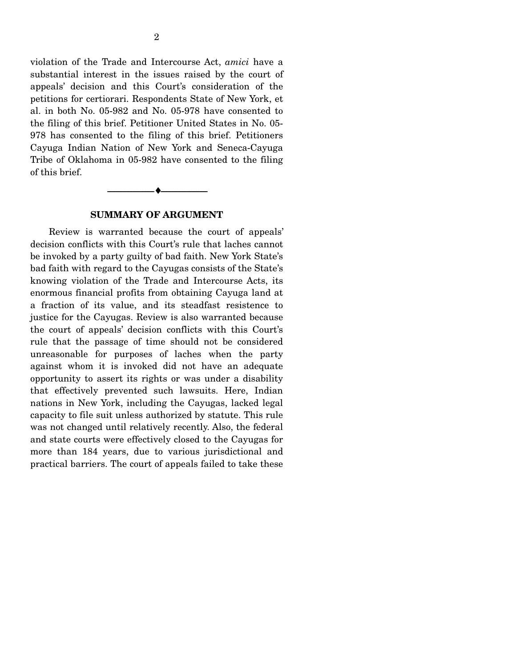violation of the Trade and Intercourse Act, *amici* have a substantial interest in the issues raised by the court of appeals' decision and this Court's consideration of the petitions for certiorari. Respondents State of New York, et al. in both No. 05-982 and No. 05-978 have consented to the filing of this brief. Petitioner United States in No. 05- 978 has consented to the filing of this brief. Petitioners Cayuga Indian Nation of New York and Seneca-Cayuga Tribe of Oklahoma in 05-982 have consented to the filing of this brief.

--------------------------------- ♦ ---------------------------------

### **SUMMARY OF ARGUMENT**

Review is warranted because the court of appeals' decision conflicts with this Court's rule that laches cannot be invoked by a party guilty of bad faith. New York State's bad faith with regard to the Cayugas consists of the State's knowing violation of the Trade and Intercourse Acts, its enormous financial profits from obtaining Cayuga land at a fraction of its value, and its steadfast resistence to justice for the Cayugas. Review is also warranted because the court of appeals' decision conflicts with this Court's rule that the passage of time should not be considered unreasonable for purposes of laches when the party against whom it is invoked did not have an adequate opportunity to assert its rights or was under a disability that effectively prevented such lawsuits. Here, Indian nations in New York, including the Cayugas, lacked legal capacity to file suit unless authorized by statute. This rule was not changed until relatively recently. Also, the federal and state courts were effectively closed to the Cayugas for more than 184 years, due to various jurisdictional and practical barriers. The court of appeals failed to take these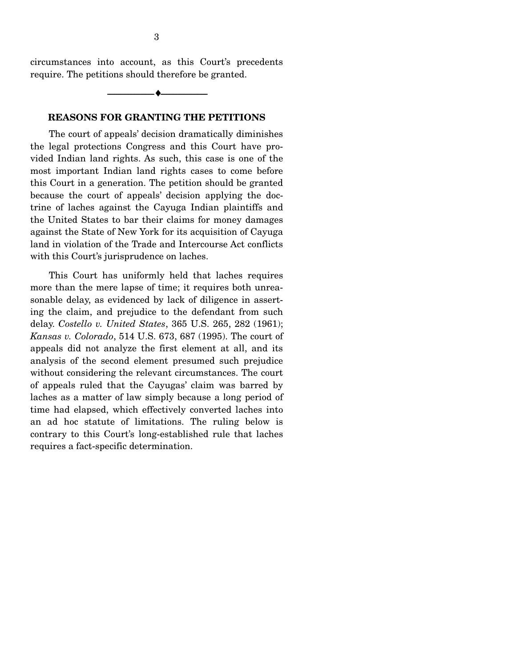circumstances into account, as this Court's precedents require. The petitions should therefore be granted.

--------------------------------- ♦ ---------------------------------

## **REASONS FOR GRANTING THE PETITIONS**

The court of appeals' decision dramatically diminishes the legal protections Congress and this Court have provided Indian land rights. As such, this case is one of the most important Indian land rights cases to come before this Court in a generation. The petition should be granted because the court of appeals' decision applying the doctrine of laches against the Cayuga Indian plaintiffs and the United States to bar their claims for money damages against the State of New York for its acquisition of Cayuga land in violation of the Trade and Intercourse Act conflicts with this Court's jurisprudence on laches.

This Court has uniformly held that laches requires more than the mere lapse of time; it requires both unreasonable delay, as evidenced by lack of diligence in asserting the claim, and prejudice to the defendant from such delay. *Costello v. United States*, 365 U.S. 265, 282 (1961); *Kansas v. Colorado*, 514 U.S. 673, 687 (1995). The court of appeals did not analyze the first element at all, and its analysis of the second element presumed such prejudice without considering the relevant circumstances. The court of appeals ruled that the Cayugas' claim was barred by laches as a matter of law simply because a long period of time had elapsed, which effectively converted laches into an ad hoc statute of limitations. The ruling below is contrary to this Court's long-established rule that laches requires a fact-specific determination.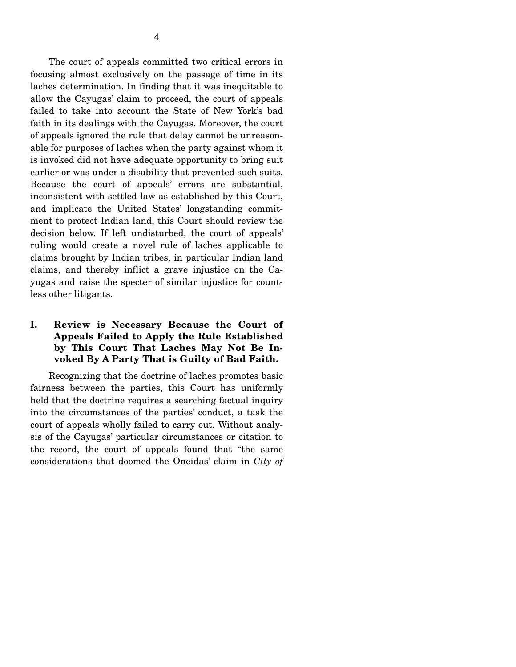The court of appeals committed two critical errors in focusing almost exclusively on the passage of time in its laches determination. In finding that it was inequitable to allow the Cayugas' claim to proceed, the court of appeals failed to take into account the State of New York's bad faith in its dealings with the Cayugas. Moreover, the court of appeals ignored the rule that delay cannot be unreasonable for purposes of laches when the party against whom it is invoked did not have adequate opportunity to bring suit earlier or was under a disability that prevented such suits. Because the court of appeals' errors are substantial, inconsistent with settled law as established by this Court, and implicate the United States' longstanding commitment to protect Indian land, this Court should review the decision below. If left undisturbed, the court of appeals' ruling would create a novel rule of laches applicable to claims brought by Indian tribes, in particular Indian land claims, and thereby inflict a grave injustice on the Cayugas and raise the specter of similar injustice for countless other litigants.

## **I. Review is Necessary Because the Court of Appeals Failed to Apply the Rule Established by This Court That Laches May Not Be Invoked By A Party That is Guilty of Bad Faith.**

Recognizing that the doctrine of laches promotes basic fairness between the parties, this Court has uniformly held that the doctrine requires a searching factual inquiry into the circumstances of the parties' conduct, a task the court of appeals wholly failed to carry out. Without analysis of the Cayugas' particular circumstances or citation to the record, the court of appeals found that "the same considerations that doomed the Oneidas' claim in *City of*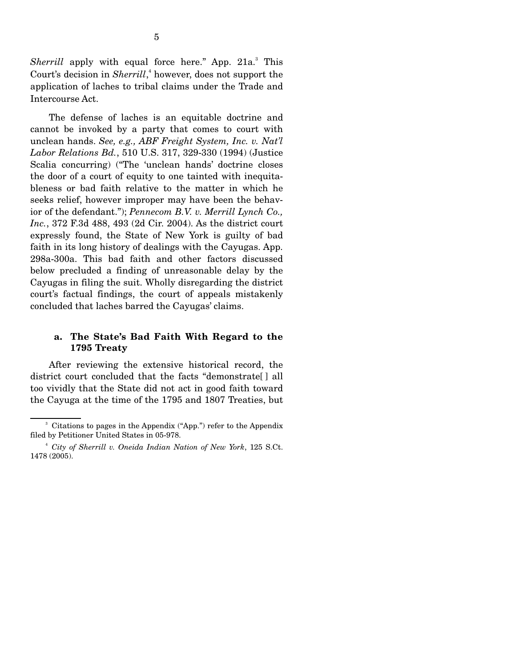Sherrill apply with equal force here." App. 21a.<sup>3</sup> This Court's decision in *Sherrill*, 4 however, does not support the application of laches to tribal claims under the Trade and Intercourse Act.

The defense of laches is an equitable doctrine and cannot be invoked by a party that comes to court with unclean hands. *See, e.g., ABF Freight System, Inc. v. Nat'l Labor Relations Bd.*, 510 U.S. 317, 329-330 (1994) (Justice Scalia concurring) ("The 'unclean hands' doctrine closes the door of a court of equity to one tainted with inequitableness or bad faith relative to the matter in which he seeks relief, however improper may have been the behavior of the defendant."); *Pennecom B.V. v. Merrill Lynch Co., Inc.*, 372 F.3d 488, 493 (2d Cir. 2004). As the district court expressly found, the State of New York is guilty of bad faith in its long history of dealings with the Cayugas. App. 298a-300a. This bad faith and other factors discussed below precluded a finding of unreasonable delay by the Cayugas in filing the suit. Wholly disregarding the district court's factual findings, the court of appeals mistakenly concluded that laches barred the Cayugas' claims.

## **a. The State's Bad Faith With Regard to the 1795 Treaty**

After reviewing the extensive historical record, the district court concluded that the facts "demonstrate[ ] all too vividly that the State did not act in good faith toward the Cayuga at the time of the 1795 and 1807 Treaties, but

<sup>&</sup>lt;sup>3</sup> Citations to pages in the Appendix ("App.") refer to the Appendix filed by Petitioner United States in 05-978.

<sup>4</sup> *City of Sherrill v. Oneida Indian Nation of New York*, 125 S.Ct. 1478 (2005).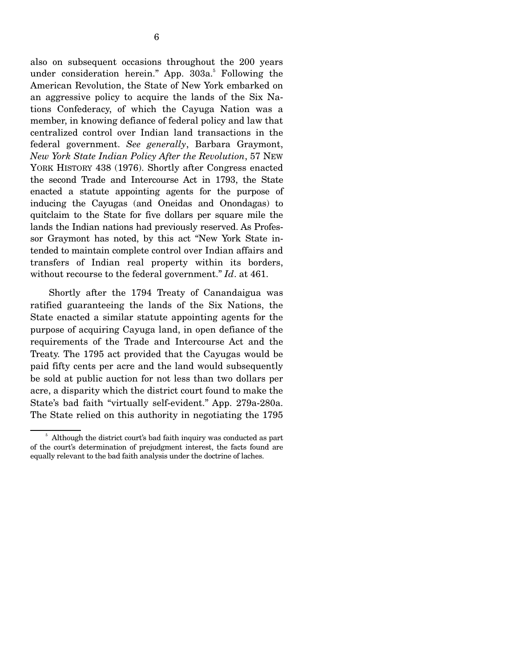also on subsequent occasions throughout the 200 years under consideration herein." App. 303a.<sup>5</sup> Following the American Revolution, the State of New York embarked on an aggressive policy to acquire the lands of the Six Nations Confederacy, of which the Cayuga Nation was a member, in knowing defiance of federal policy and law that centralized control over Indian land transactions in the federal government. *See generally*, Barbara Graymont, *New York State Indian Policy After the Revolution*, 57 NEW YORK HISTORY 438 (1976). Shortly after Congress enacted the second Trade and Intercourse Act in 1793, the State enacted a statute appointing agents for the purpose of inducing the Cayugas (and Oneidas and Onondagas) to quitclaim to the State for five dollars per square mile the lands the Indian nations had previously reserved. As Professor Graymont has noted, by this act "New York State intended to maintain complete control over Indian affairs and transfers of Indian real property within its borders, without recourse to the federal government." *Id*. at 461.

 Shortly after the 1794 Treaty of Canandaigua was ratified guaranteeing the lands of the Six Nations, the State enacted a similar statute appointing agents for the purpose of acquiring Cayuga land, in open defiance of the requirements of the Trade and Intercourse Act and the Treaty. The 1795 act provided that the Cayugas would be paid fifty cents per acre and the land would subsequently be sold at public auction for not less than two dollars per acre, a disparity which the district court found to make the State's bad faith "virtually self-evident." App. 279a-280a. The State relied on this authority in negotiating the 1795

<sup>&</sup>lt;sup>5</sup> Although the district court's bad faith inquiry was conducted as part of the court's determination of prejudgment interest, the facts found are equally relevant to the bad faith analysis under the doctrine of laches.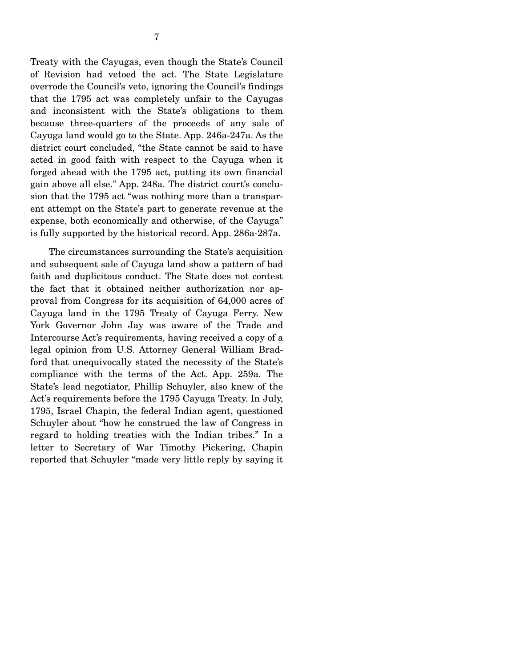Treaty with the Cayugas, even though the State's Council of Revision had vetoed the act. The State Legislature overrode the Council's veto, ignoring the Council's findings that the 1795 act was completely unfair to the Cayugas and inconsistent with the State's obligations to them because three-quarters of the proceeds of any sale of Cayuga land would go to the State. App. 246a-247a. As the district court concluded, "the State cannot be said to have acted in good faith with respect to the Cayuga when it forged ahead with the 1795 act, putting its own financial gain above all else." App. 248a. The district court's conclusion that the 1795 act "was nothing more than a transparent attempt on the State's part to generate revenue at the expense, both economically and otherwise, of the Cayuga" is fully supported by the historical record. App. 286a-287a.

 The circumstances surrounding the State's acquisition and subsequent sale of Cayuga land show a pattern of bad faith and duplicitous conduct. The State does not contest the fact that it obtained neither authorization nor approval from Congress for its acquisition of 64,000 acres of Cayuga land in the 1795 Treaty of Cayuga Ferry. New York Governor John Jay was aware of the Trade and Intercourse Act's requirements, having received a copy of a legal opinion from U.S. Attorney General William Bradford that unequivocally stated the necessity of the State's compliance with the terms of the Act. App. 259a. The State's lead negotiator, Phillip Schuyler, also knew of the Act's requirements before the 1795 Cayuga Treaty. In July, 1795, Israel Chapin, the federal Indian agent, questioned Schuyler about "how he construed the law of Congress in regard to holding treaties with the Indian tribes." In a letter to Secretary of War Timothy Pickering, Chapin reported that Schuyler "made very little reply by saying it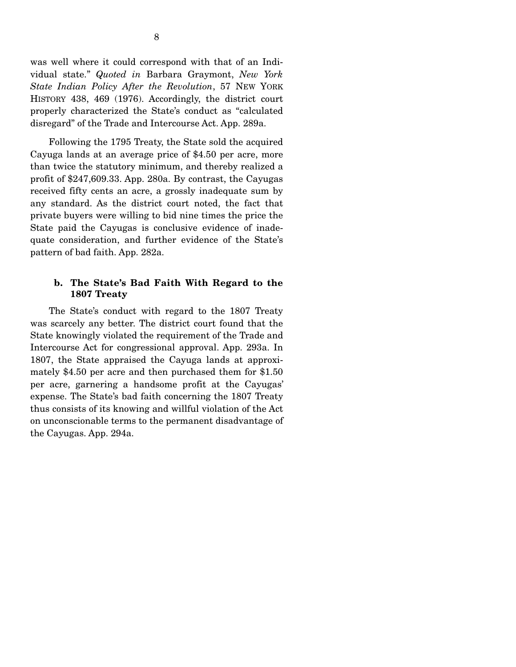was well where it could correspond with that of an Individual state." *Quoted in* Barbara Graymont, *New York State Indian Policy After the Revolution*, 57 NEW YORK HISTORY 438, 469 (1976). Accordingly, the district court properly characterized the State's conduct as "calculated disregard" of the Trade and Intercourse Act. App. 289a.

 Following the 1795 Treaty, the State sold the acquired Cayuga lands at an average price of \$4.50 per acre, more than twice the statutory minimum, and thereby realized a profit of \$247,609.33. App. 280a. By contrast, the Cayugas received fifty cents an acre, a grossly inadequate sum by any standard. As the district court noted, the fact that private buyers were willing to bid nine times the price the State paid the Cayugas is conclusive evidence of inadequate consideration, and further evidence of the State's pattern of bad faith. App. 282a.

## **b. The State's Bad Faith With Regard to the 1807 Treaty**

 The State's conduct with regard to the 1807 Treaty was scarcely any better. The district court found that the State knowingly violated the requirement of the Trade and Intercourse Act for congressional approval. App. 293a. In 1807, the State appraised the Cayuga lands at approximately \$4.50 per acre and then purchased them for \$1.50 per acre, garnering a handsome profit at the Cayugas' expense. The State's bad faith concerning the 1807 Treaty thus consists of its knowing and willful violation of the Act on unconscionable terms to the permanent disadvantage of the Cayugas. App. 294a.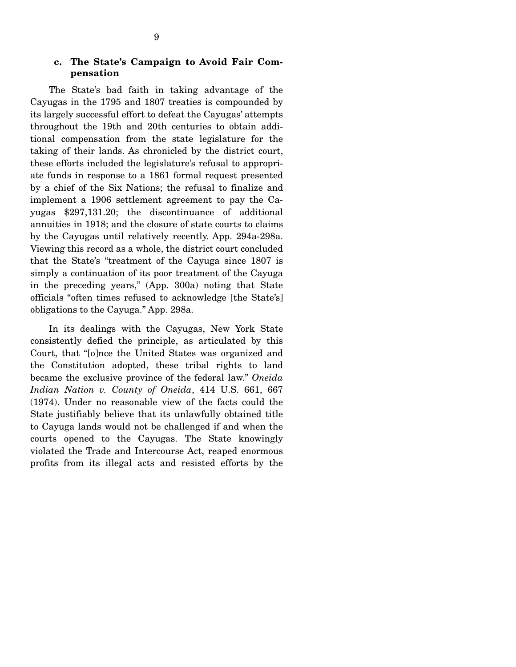## **c. The State's Campaign to Avoid Fair Compensation**

 The State's bad faith in taking advantage of the Cayugas in the 1795 and 1807 treaties is compounded by its largely successful effort to defeat the Cayugas' attempts throughout the 19th and 20th centuries to obtain additional compensation from the state legislature for the taking of their lands. As chronicled by the district court, these efforts included the legislature's refusal to appropriate funds in response to a 1861 formal request presented by a chief of the Six Nations; the refusal to finalize and implement a 1906 settlement agreement to pay the Cayugas \$297,131.20; the discontinuance of additional annuities in 1918; and the closure of state courts to claims by the Cayugas until relatively recently. App. 294a-298a. Viewing this record as a whole, the district court concluded that the State's "treatment of the Cayuga since 1807 is simply a continuation of its poor treatment of the Cayuga in the preceding years," (App. 300a) noting that State officials "often times refused to acknowledge [the State's] obligations to the Cayuga." App. 298a.

 In its dealings with the Cayugas, New York State consistently defied the principle, as articulated by this Court, that "[o]nce the United States was organized and the Constitution adopted, these tribal rights to land became the exclusive province of the federal law." *Oneida Indian Nation v. County of Oneida*, 414 U.S. 661, 667 (1974). Under no reasonable view of the facts could the State justifiably believe that its unlawfully obtained title to Cayuga lands would not be challenged if and when the courts opened to the Cayugas. The State knowingly violated the Trade and Intercourse Act, reaped enormous profits from its illegal acts and resisted efforts by the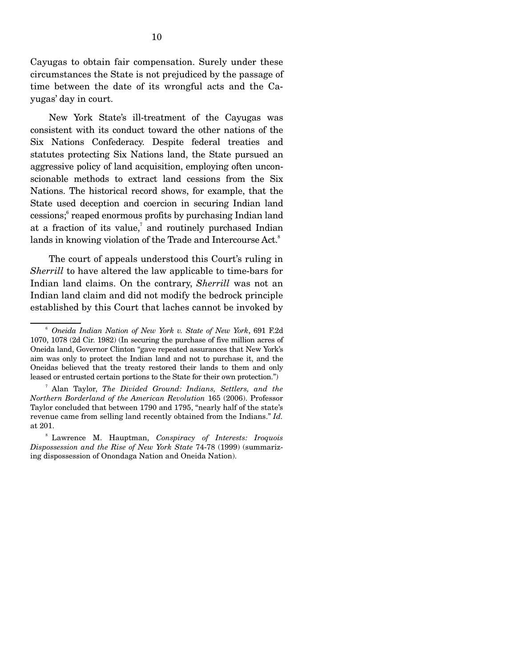Cayugas to obtain fair compensation. Surely under these circumstances the State is not prejudiced by the passage of time between the date of its wrongful acts and the Cayugas' day in court.

 New York State's ill-treatment of the Cayugas was consistent with its conduct toward the other nations of the Six Nations Confederacy. Despite federal treaties and statutes protecting Six Nations land, the State pursued an aggressive policy of land acquisition, employing often unconscionable methods to extract land cessions from the Six Nations. The historical record shows, for example, that the State used deception and coercion in securing Indian land cessions;<sup>6</sup> reaped enormous profits by purchasing Indian land at a fraction of its value, $7$  and routinely purchased Indian lands in knowing violation of the Trade and Intercourse Act.<sup>8</sup>

 The court of appeals understood this Court's ruling in *Sherrill* to have altered the law applicable to time-bars for Indian land claims. On the contrary, *Sherrill* was not an Indian land claim and did not modify the bedrock principle established by this Court that laches cannot be invoked by

<sup>6</sup> *Oneida Indian Nation of New York v. State of New York*, 691 F.2d 1070, 1078 (2d Cir. 1982) (In securing the purchase of five million acres of Oneida land, Governor Clinton "gave repeated assurances that New York's aim was only to protect the Indian land and not to purchase it, and the Oneidas believed that the treaty restored their lands to them and only leased or entrusted certain portions to the State for their own protection.")

<sup>7</sup> Alan Taylor, *The Divided Ground: Indians, Settlers, and the Northern Borderland of the American Revolution* 165 (2006). Professor Taylor concluded that between 1790 and 1795, "nearly half of the state's revenue came from selling land recently obtained from the Indians." *Id.*  at 201.

<sup>8</sup> Lawrence M. Hauptman, *Conspiracy of Interests: Iroquois Dispossession and the Rise of New York State* 74-78 (1999) (summarizing dispossession of Onondaga Nation and Oneida Nation).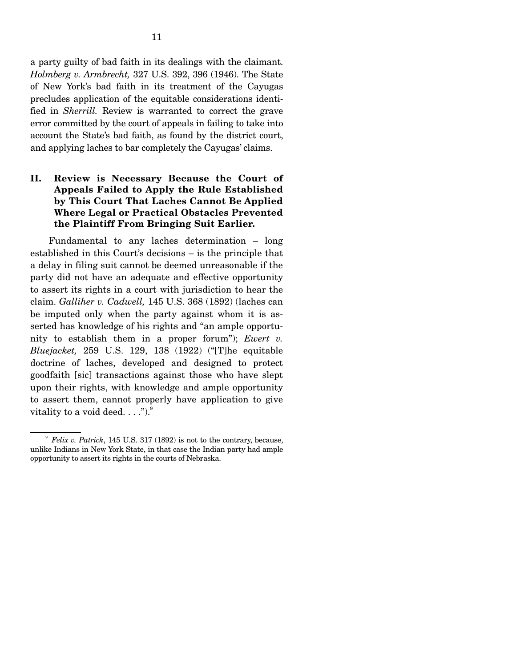a party guilty of bad faith in its dealings with the claimant. *Holmberg v. Armbrecht,* 327 U.S. 392, 396 (1946). The State of New York's bad faith in its treatment of the Cayugas precludes application of the equitable considerations identified in *Sherrill.* Review is warranted to correct the grave error committed by the court of appeals in failing to take into account the State's bad faith, as found by the district court, and applying laches to bar completely the Cayugas' claims.

## **II. Review is Necessary Because the Court of Appeals Failed to Apply the Rule Established by This Court That Laches Cannot Be Applied Where Legal or Practical Obstacles Prevented the Plaintiff From Bringing Suit Earlier.**

 Fundamental to any laches determination – long established in this Court's decisions – is the principle that a delay in filing suit cannot be deemed unreasonable if the party did not have an adequate and effective opportunity to assert its rights in a court with jurisdiction to hear the claim. *Galliher v. Cadwell,* 145 U.S. 368 (1892) (laches can be imputed only when the party against whom it is asserted has knowledge of his rights and "an ample opportunity to establish them in a proper forum"); *Ewert v. Bluejacket,* 259 U.S. 129, 138 (1922) ("[T]he equitable doctrine of laches, developed and designed to protect goodfaith [sic] transactions against those who have slept upon their rights, with knowledge and ample opportunity to assert them, cannot properly have application to give vitality to a void deed.  $\dots$ ").

<sup>9</sup> *Felix v. Patrick*, 145 U.S. 317 (1892) is not to the contrary, because, unlike Indians in New York State, in that case the Indian party had ample opportunity to assert its rights in the courts of Nebraska.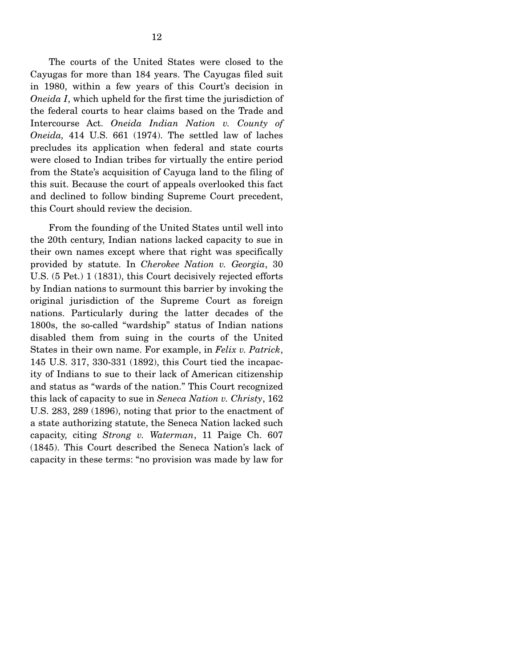The courts of the United States were closed to the Cayugas for more than 184 years. The Cayugas filed suit in 1980, within a few years of this Court's decision in *Oneida I*, which upheld for the first time the jurisdiction of the federal courts to hear claims based on the Trade and Intercourse Act. *Oneida Indian Nation v. County of Oneida,* 414 U.S. 661 (1974). The settled law of laches precludes its application when federal and state courts were closed to Indian tribes for virtually the entire period from the State's acquisition of Cayuga land to the filing of this suit. Because the court of appeals overlooked this fact

and declined to follow binding Supreme Court precedent,

this Court should review the decision.

 From the founding of the United States until well into the 20th century, Indian nations lacked capacity to sue in their own names except where that right was specifically provided by statute. In *Cherokee Nation v. Georgia*, 30 U.S. (5 Pet.) 1 (1831), this Court decisively rejected efforts by Indian nations to surmount this barrier by invoking the original jurisdiction of the Supreme Court as foreign nations. Particularly during the latter decades of the 1800s, the so-called "wardship" status of Indian nations disabled them from suing in the courts of the United States in their own name. For example, in *Felix v. Patrick*, 145 U.S. 317, 330-331 (1892), this Court tied the incapacity of Indians to sue to their lack of American citizenship and status as "wards of the nation." This Court recognized this lack of capacity to sue in *Seneca Nation v. Christy*, 162 U.S. 283, 289 (1896), noting that prior to the enactment of a state authorizing statute, the Seneca Nation lacked such capacity, citing *Strong v. Waterman*, 11 Paige Ch. 607 (1845). This Court described the Seneca Nation's lack of capacity in these terms: "no provision was made by law for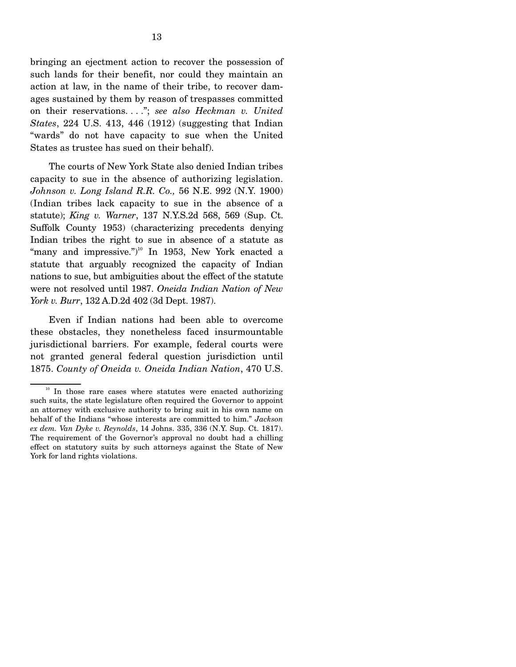bringing an ejectment action to recover the possession of such lands for their benefit, nor could they maintain an action at law, in the name of their tribe, to recover damages sustained by them by reason of trespasses committed on their reservations. . . ."; *see also Heckman v. United States*, 224 U.S. 413, 446 (1912) (suggesting that Indian "wards" do not have capacity to sue when the United States as trustee has sued on their behalf).

 The courts of New York State also denied Indian tribes capacity to sue in the absence of authorizing legislation. *Johnson v. Long Island R.R. Co.,* 56 N.E. 992 (N.Y. 1900) (Indian tribes lack capacity to sue in the absence of a statute); *King v. Warner*, 137 N.Y.S.2d 568, 569 (Sup. Ct. Suffolk County 1953) (characterizing precedents denying Indian tribes the right to sue in absence of a statute as "many and impressive.") $10$  In 1953, New York enacted a statute that arguably recognized the capacity of Indian nations to sue, but ambiguities about the effect of the statute were not resolved until 1987. *Oneida Indian Nation of New York v. Burr*, 132 A.D.2d 402 (3d Dept. 1987).

 Even if Indian nations had been able to overcome these obstacles, they nonetheless faced insurmountable jurisdictional barriers. For example, federal courts were not granted general federal question jurisdiction until 1875. *County of Oneida v. Oneida Indian Nation*, 470 U.S.

<sup>&</sup>lt;sup>10</sup> In those rare cases where statutes were enacted authorizing such suits, the state legislature often required the Governor to appoint an attorney with exclusive authority to bring suit in his own name on behalf of the Indians "whose interests are committed to him." *Jackson ex dem. Van Dyke v. Reynolds*, 14 Johns. 335, 336 (N.Y. Sup. Ct. 1817). The requirement of the Governor's approval no doubt had a chilling effect on statutory suits by such attorneys against the State of New York for land rights violations.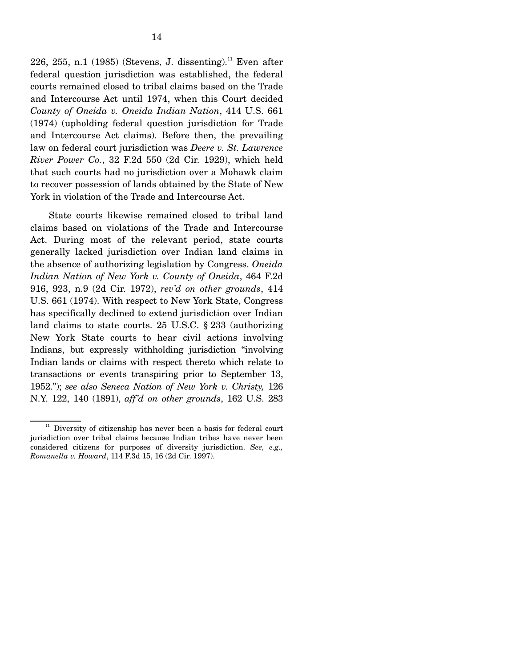226, 255, n.1 (1985) (Stevens, J. dissenting).<sup>11</sup> Even after federal question jurisdiction was established, the federal courts remained closed to tribal claims based on the Trade and Intercourse Act until 1974, when this Court decided *County of Oneida v. Oneida Indian Nation*, 414 U.S. 661 (1974) (upholding federal question jurisdiction for Trade and Intercourse Act claims). Before then, the prevailing law on federal court jurisdiction was *Deere v. St. Lawrence River Power Co.*, 32 F.2d 550 (2d Cir. 1929), which held that such courts had no jurisdiction over a Mohawk claim to recover possession of lands obtained by the State of New York in violation of the Trade and Intercourse Act.

 State courts likewise remained closed to tribal land claims based on violations of the Trade and Intercourse Act. During most of the relevant period, state courts generally lacked jurisdiction over Indian land claims in the absence of authorizing legislation by Congress. *Oneida Indian Nation of New York v. County of Oneida*, 464 F.2d 916, 923, n.9 (2d Cir. 1972), *rev'd on other grounds*, 414 U.S. 661 (1974). With respect to New York State, Congress has specifically declined to extend jurisdiction over Indian land claims to state courts. 25 U.S.C. § 233 (authorizing New York State courts to hear civil actions involving Indians, but expressly withholding jurisdiction "involving Indian lands or claims with respect thereto which relate to transactions or events transpiring prior to September 13, 1952."); *see also Seneca Nation of New York v. Christy,* 126 N.Y. 122, 140 (1891), *aff'd on other grounds*, 162 U.S. 283

 $11$  Diversity of citizenship has never been a basis for federal court jurisdiction over tribal claims because Indian tribes have never been considered citizens for purposes of diversity jurisdiction. *See, e.g., Romanella v. Howard*, 114 F.3d 15, 16 (2d Cir. 1997).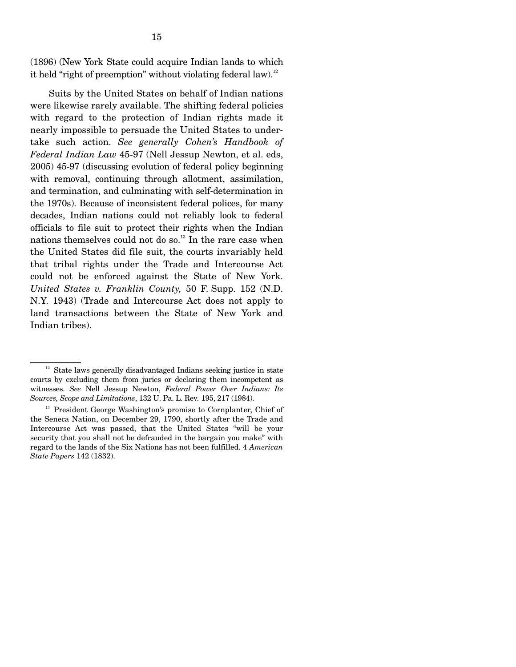(1896) (New York State could acquire Indian lands to which it held "right of preemption" without violating federal law).<sup>12</sup>

 Suits by the United States on behalf of Indian nations were likewise rarely available. The shifting federal policies with regard to the protection of Indian rights made it nearly impossible to persuade the United States to undertake such action. *See generally Cohen's Handbook of Federal Indian Law* 45-97 (Nell Jessup Newton, et al. eds, 2005) 45-97 (discussing evolution of federal policy beginning with removal, continuing through allotment, assimilation, and termination, and culminating with self-determination in the 1970s). Because of inconsistent federal polices, for many decades, Indian nations could not reliably look to federal officials to file suit to protect their rights when the Indian nations themselves could not do so.<sup>13</sup> In the rare case when the United States did file suit, the courts invariably held that tribal rights under the Trade and Intercourse Act could not be enforced against the State of New York. *United States v. Franklin County,* 50 F. Supp. 152 (N.D. N.Y. 1943) (Trade and Intercourse Act does not apply to land transactions between the State of New York and Indian tribes).

 $12$  State laws generally disadvantaged Indians seeking justice in state courts by excluding them from juries or declaring them incompetent as witnesses. *See* Nell Jessup Newton, *Federal Power Over Indians: Its Sources, Scope and Limitations*, 132 U. Pa. L. Rev*.* 195, 217 (1984).

<sup>&</sup>lt;sup>13</sup> President George Washington's promise to Cornplanter, Chief of the Seneca Nation, on December 29, 1790, shortly after the Trade and Intercourse Act was passed, that the United States "will be your security that you shall not be defrauded in the bargain you make" with regard to the lands of the Six Nations has not been fulfilled. 4 *American State Papers* 142 (1832).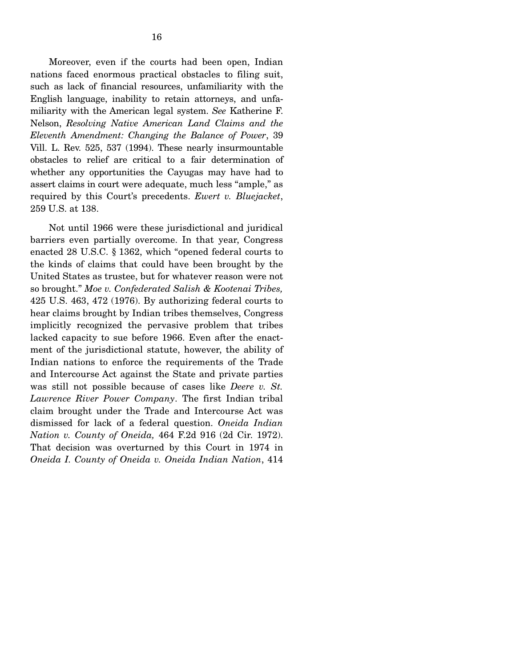Moreover, even if the courts had been open, Indian nations faced enormous practical obstacles to filing suit, such as lack of financial resources, unfamiliarity with the English language, inability to retain attorneys, and unfamiliarity with the American legal system. *See* Katherine F. Nelson, *Resolving Native American Land Claims and the Eleventh Amendment: Changing the Balance of Power*, 39 Vill. L. Rev. 525, 537 (1994). These nearly insurmountable obstacles to relief are critical to a fair determination of whether any opportunities the Cayugas may have had to assert claims in court were adequate, much less "ample," as required by this Court's precedents. *Ewert v. Bluejacket*, 259 U.S. at 138.

Not until 1966 were these jurisdictional and juridical barriers even partially overcome. In that year, Congress enacted 28 U.S.C. § 1362, which "opened federal courts to the kinds of claims that could have been brought by the United States as trustee, but for whatever reason were not so brought." *Moe v. Confederated Salish & Kootenai Tribes,*  425 U.S. 463, 472 (1976). By authorizing federal courts to hear claims brought by Indian tribes themselves, Congress implicitly recognized the pervasive problem that tribes lacked capacity to sue before 1966. Even after the enactment of the jurisdictional statute, however, the ability of Indian nations to enforce the requirements of the Trade and Intercourse Act against the State and private parties was still not possible because of cases like *Deere v. St. Lawrence River Power Company*. The first Indian tribal claim brought under the Trade and Intercourse Act was dismissed for lack of a federal question. *Oneida Indian Nation v. County of Oneida,* 464 F.2d 916 (2d Cir. 1972). That decision was overturned by this Court in 1974 in *Oneida I. County of Oneida v. Oneida Indian Nation*, 414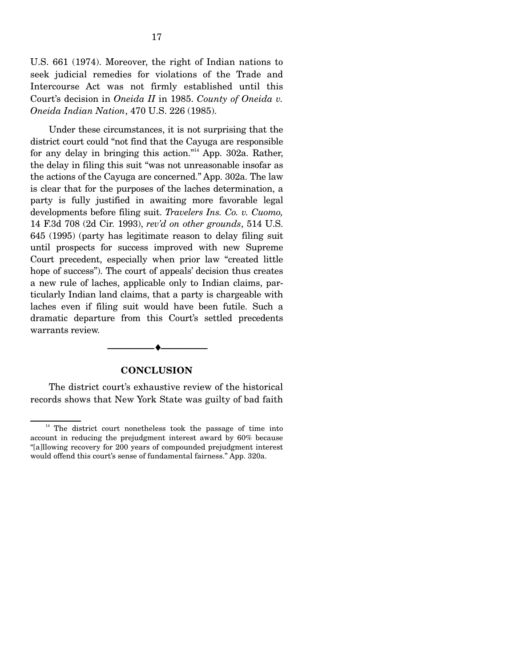U.S. 661 (1974). Moreover, the right of Indian nations to seek judicial remedies for violations of the Trade and Intercourse Act was not firmly established until this Court's decision in *Oneida II* in 1985. *County of Oneida v. Oneida Indian Nation*, 470 U.S. 226 (1985).

Under these circumstances, it is not surprising that the district court could "not find that the Cayuga are responsible for any delay in bringing this action."<sup>14</sup> App. 302a. Rather, the delay in filing this suit "was not unreasonable insofar as the actions of the Cayuga are concerned." App. 302a. The law is clear that for the purposes of the laches determination, a party is fully justified in awaiting more favorable legal developments before filing suit. *Travelers Ins. Co. v. Cuomo,*  14 F.3d 708 (2d Cir. 1993), *rev'd on other grounds*, 514 U.S. 645 (1995) (party has legitimate reason to delay filing suit until prospects for success improved with new Supreme Court precedent, especially when prior law "created little hope of success"). The court of appeals' decision thus creates a new rule of laches, applicable only to Indian claims, particularly Indian land claims, that a party is chargeable with laches even if filing suit would have been futile. Such a dramatic departure from this Court's settled precedents warrants review.

#### **CONCLUSION**

--------------------------------- ♦ ---------------------------------

 The district court's exhaustive review of the historical records shows that New York State was guilty of bad faith

<sup>&</sup>lt;sup>14</sup> The district court nonetheless took the passage of time into account in reducing the prejudgment interest award by 60% because "[a]llowing recovery for 200 years of compounded prejudgment interest would offend this court's sense of fundamental fairness." App. 320a.